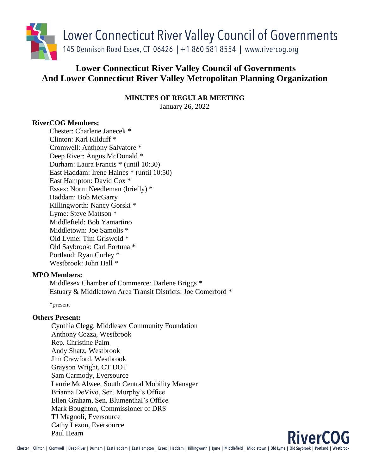

# **Lower Connecticut River Valley Council of Governments And Lower Connecticut River Valley Metropolitan Planning Organization**

**MINUTES OF REGULAR MEETING**

January 26, 2022

# **RiverCOG Members;**

Chester: Charlene Janecek \* Clinton: Karl Kilduff \* Cromwell: Anthony Salvatore \* Deep River: Angus McDonald \* Durham: Laura Francis \* (until 10:30) East Haddam: Irene Haines \* (until 10:50) East Hampton: David Cox \* Essex: Norm Needleman (briefly) \* Haddam: Bob McGarry Killingworth: Nancy Gorski \* Lyme: Steve Mattson \* Middlefield: Bob Yamartino Middletown: Joe Samolis \* Old Lyme: Tim Griswold \* Old Saybrook: Carl Fortuna \* Portland: Ryan Curley \* Westbrook: John Hall \*

# **MPO Members:**

Middlesex Chamber of Commerce: Darlene Briggs \* Estuary & Middletown Area Transit Districts: Joe Comerford \*

\*present

# **Others Present:**

Cynthia Clegg, Middlesex Community Foundation Anthony Cozza, Westbrook Rep. Christine Palm Andy Shatz, Westbrook Jim Crawford, Westbrook Grayson Wright, CT DOT Sam Carmody, Eversource Laurie McAlwee, South Central Mobility Manager Brianna DeVivo, Sen. Murphy's Office Ellen Graham, Sen. Blumenthal's Office Mark Boughton, Commissioner of DRS TJ Magnoli, Eversource Cathy Lezon, Eversource Paul Hearn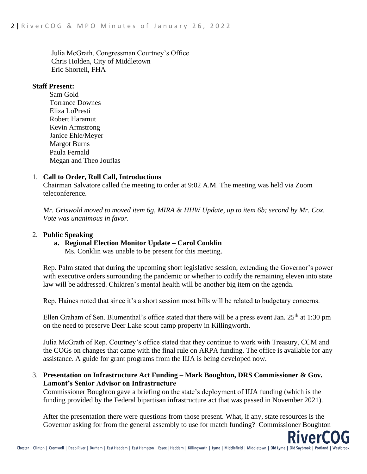Julia McGrath, Congressman Courtney's Office Chris Holden, City of Middletown Eric Shortell, FHA

## **Staff Present:**

Sam Gold Torrance Downes Eliza LoPresti Robert Haramut Kevin Armstrong Janice Ehle/Meyer Margot Burns Paula Fernald Megan and Theo Jouflas

## 1. **Call to Order, Roll Call, Introductions**

Chairman Salvatore called the meeting to order at 9:02 A.M. The meeting was held via Zoom teleconference.

*Mr. Griswold moved to moved item 6g, MIRA & HHW Update, up to item 6b; second by Mr. Cox. Vote was unanimous in favor.*

## 2. **Public Speaking**

**a. Regional Election Monitor Update – Carol Conklin**

Ms. Conklin was unable to be present for this meeting.

Rep. Palm stated that during the upcoming short legislative session, extending the Governor's power with executive orders surrounding the pandemic or whether to codify the remaining eleven into state law will be addressed. Children's mental health will be another big item on the agenda.

Rep. Haines noted that since it's a short session most bills will be related to budgetary concerns.

Ellen Graham of Sen. Blumenthal's office stated that there will be a press event Jan.  $25<sup>th</sup>$  at 1:30 pm on the need to preserve Deer Lake scout camp property in Killingworth.

Julia McGrath of Rep. Courtney's office stated that they continue to work with Treasury, CCM and the COGs on changes that came with the final rule on ARPA funding. The office is available for any assistance. A guide for grant programs from the IIJA is being developed now.

3. **Presentation on Infrastructure Act Funding – Mark Boughton, DRS Commissioner & Gov. Lamont's Senior Advisor on Infrastructure**

Commissioner Boughton gave a briefing on the state's deployment of IIJA funding (which is the funding provided by the Federal bipartisan infrastructure act that was passed in November 2021).

After the presentation there were questions from those present. What, if any, state resources is the Governor asking for from the general assembly to use for match funding? Commissioner Boughton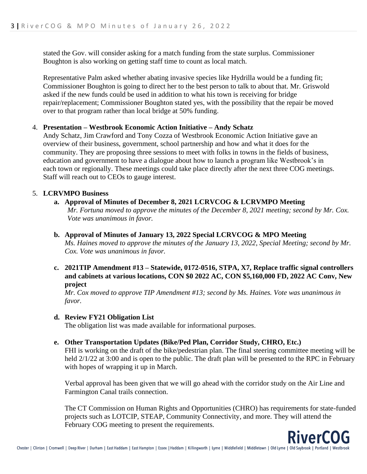stated the Gov. will consider asking for a match funding from the state surplus. Commissioner Boughton is also working on getting staff time to count as local match.

Representative Palm asked whether abating invasive species like Hydrilla would be a funding fit; Commissioner Boughton is going to direct her to the best person to talk to about that. Mr. Griswold asked if the new funds could be used in addition to what his town is receiving for bridge repair/replacement; Commissioner Boughton stated yes, with the possibility that the repair be moved over to that program rather than local bridge at 50% funding.

## 4. **Presentation – Westbrook Economic Action Initiative – Andy Schatz**

Andy Schatz, Jim Crawford and Tony Cozza of Westbrook Economic Action Initiative gave an overview of their business, government, school partnership and how and what it does for the community. They are proposing three sessions to meet with folks in towns in the fields of business, education and government to have a dialogue about how to launch a program like Westbrook's in each town or regionally. These meetings could take place directly after the next three COG meetings. Staff will reach out to CEOs to gauge interest.

## 5. **LCRVMPO Business**

## **a. Approval of Minutes of December 8, 2021 LCRVCOG & LCRVMPO Meeting**

*Mr. Fortuna moved to approve the minutes of the December 8, 2021 meeting; second by Mr. Cox. Vote was unanimous in favor.*

#### **b. Approval of Minutes of January 13, 2022 Special LCRVCOG & MPO Meeting**

*Ms. Haines moved to approve the minutes of the January 13, 2022, Special Meeting; second by Mr. Cox. Vote was unanimous in favor.*

**c. 2021TIP Amendment #13 – Statewide, 0172-0516, STPA, X7, Replace traffic signal controllers and cabinets at various locations, CON \$0 2022 AC, CON \$5,160,000 FD, 2022 AC Conv, New project**

*Mr. Cox moved to approve TIP Amendment #13; second by Ms. Haines. Vote was unanimous in favor.*

## **d. Review FY21 Obligation List**

The obligation list was made available for informational purposes.

# **e. Other Transportation Updates (Bike/Ped Plan, Corridor Study, CHRO, Etc.)**

FHI is working on the draft of the bike/pedestrian plan. The final steering committee meeting will be held  $2/1/22$  at 3:00 and is open to the public. The draft plan will be presented to the RPC in February with hopes of wrapping it up in March.

Verbal approval has been given that we will go ahead with the corridor study on the Air Line and Farmington Canal trails connection.

The CT Commission on Human Rights and Opportunities (CHRO) has requirements for state-funded projects such as LOTCIP, STEAP, Community Connectivity, and more. They will attend the February COG meeting to present the requirements.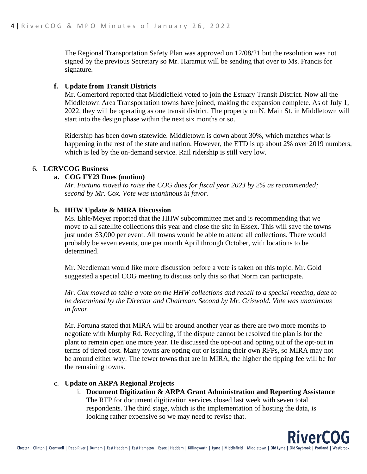The Regional Transportation Safety Plan was approved on 12/08/21 but the resolution was not signed by the previous Secretary so Mr. Haramut will be sending that over to Ms. Francis for signature.

## **f. Update from Transit Districts**

Mr. Comerford reported that Middlefield voted to join the Estuary Transit District. Now all the Middletown Area Transportation towns have joined, making the expansion complete. As of July 1, 2022, they will be operating as one transit district. The property on N. Main St. in Middletown will start into the design phase within the next six months or so.

Ridership has been down statewide. Middletown is down about 30%, which matches what is happening in the rest of the state and nation. However, the ETD is up about 2% over 2019 numbers, which is led by the on-demand service. Rail ridership is still very low.

## 6. **LCRVCOG Business**

## **a. COG FY23 Dues (motion)**

*Mr. Fortuna moved to raise the COG dues for fiscal year 2023 by 2% as recommended; second by Mr. Cox. Vote was unanimous in favor.*

# **b. HHW Update & MIRA Discussion**

Ms. Ehle/Meyer reported that the HHW subcommittee met and is recommending that we move to all satellite collections this year and close the site in Essex. This will save the towns just under \$3,000 per event. All towns would be able to attend all collections. There would probably be seven events, one per month April through October, with locations to be determined.

Mr. Needleman would like more discussion before a vote is taken on this topic. Mr. Gold suggested a special COG meeting to discuss only this so that Norm can participate.

*Mr. Cox moved to table a vote on the HHW collections and recall to a special meeting, date to be determined by the Director and Chairman. Second by Mr. Griswold. Vote was unanimous in favor.* 

Mr. Fortuna stated that MIRA will be around another year as there are two more months to negotiate with Murphy Rd. Recycling, if the dispute cannot be resolved the plan is for the plant to remain open one more year. He discussed the opt-out and opting out of the opt-out in terms of tiered cost. Many towns are opting out or issuing their own RFPs, so MIRA may not be around either way. The fewer towns that are in MIRA, the higher the tipping fee will be for the remaining towns.

# c. **Update on ARPA Regional Projects**

i. **Document Digitization & ARPA Grant Administration and Reporting Assistance**  The RFP for document digitization services closed last week with seven total respondents. The third stage, which is the implementation of hosting the data, is looking rather expensive so we may need to revise that.

**RiverCOG**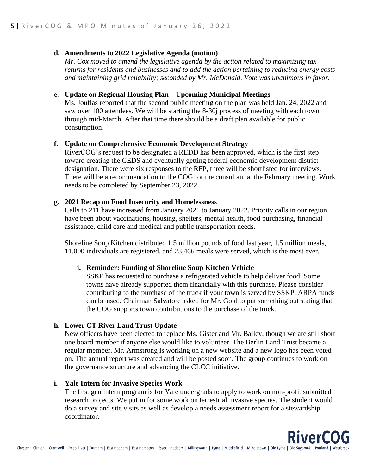#### **d. Amendments to 2022 Legislative Agenda (motion)**

*Mr. Cox moved to amend the legislative agenda by the action related to maximizing tax returns for residents and businesses and to add the action pertaining to reducing energy costs and maintaining grid reliability; seconded by Mr. McDonald. Vote was unanimous in favor.* 

#### e. **Update on Regional Housing Plan – Upcoming Municipal Meetings**

Ms. Jouflas reported that the second public meeting on the plan was held Jan. 24, 2022 and saw over 100 attendees. We will be starting the 8-30j process of meeting with each town through mid-March. After that time there should be a draft plan available for public consumption.

#### **f. Update on Comprehensive Economic Development Strategy**

RiverCOG's request to be designated a REDD has been approved, which is the first step toward creating the CEDS and eventually getting federal economic development district designation. There were six responses to the RFP, three will be shortlisted for interviews. There will be a recommendation to the COG for the consultant at the February meeting. Work needs to be completed by September 23, 2022.

## **g. 2021 Recap on Food Insecurity and Homelessness**

Calls to 211 have increased from January 2021 to January 2022. Priority calls in our region have been about vaccinations, housing, shelters, mental health, food purchasing, financial assistance, child care and medical and public transportation needs.

Shoreline Soup Kitchen distributed 1.5 million pounds of food last year, 1.5 million meals, 11,000 individuals are registered, and 23,466 meals were served, which is the most ever.

## **i. Reminder: Funding of Shoreline Soup Kitchen Vehicle**

SSKP has requested to purchase a refrigerated vehicle to help deliver food. Some towns have already supported them financially with this purchase. Please consider contributing to the purchase of the truck if your town is served by SSKP. ARPA funds can be used. Chairman Salvatore asked for Mr. Gold to put something out stating that the COG supports town contributions to the purchase of the truck.

## **h. Lower CT River Land Trust Update**

New officers have been elected to replace Ms. Gister and Mr. Bailey, though we are still short one board member if anyone else would like to volunteer. The Berlin Land Trust became a regular member. Mr. Armstrong is working on a new website and a new logo has been voted on. The annual report was created and will be posted soon. The group continues to work on the governance structure and advancing the CLCC initiative.

#### **i. Yale Intern for Invasive Species Work**

The first gen intern program is for Yale undergrads to apply to work on non-profit submitted research projects. We put in for some work on terrestrial invasive species. The student would do a survey and site visits as well as develop a needs assessment report for a stewardship coordinator.